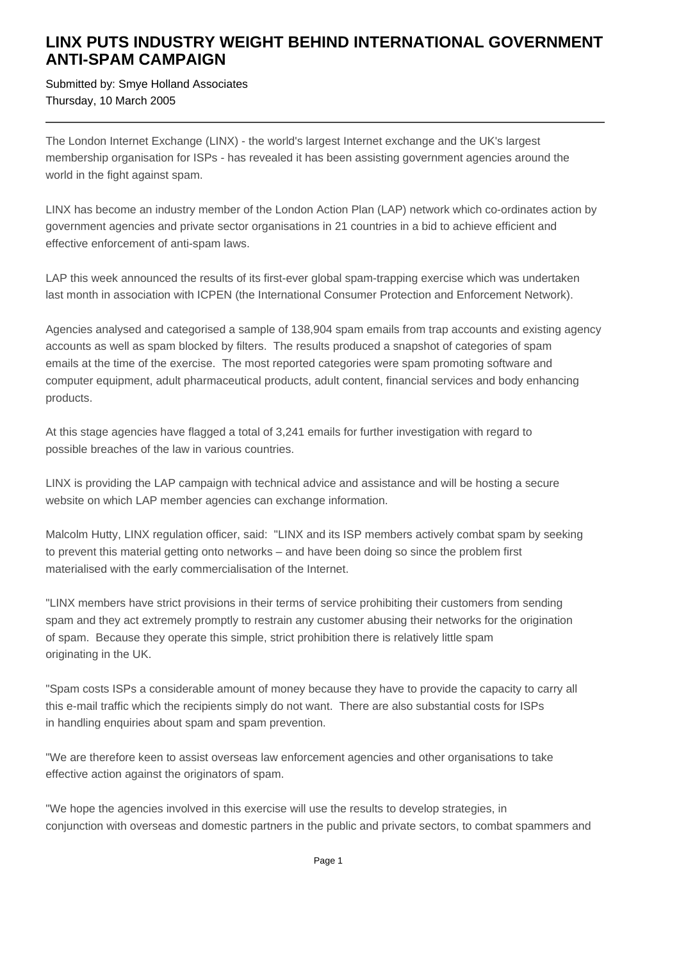## **LINX PUTS INDUSTRY WEIGHT BEHIND INTERNATIONAL GOVERNMENT ANTI-SPAM CAMPAIGN**

Submitted by: Smye Holland Associates Thursday, 10 March 2005

The London Internet Exchange (LINX) - the world's largest Internet exchange and the UK's largest membership organisation for ISPs - has revealed it has been assisting government agencies around the world in the fight against spam.

LINX has become an industry member of the London Action Plan (LAP) network which co-ordinates action by government agencies and private sector organisations in 21 countries in a bid to achieve efficient and effective enforcement of anti-spam laws.

LAP this week announced the results of its first-ever global spam-trapping exercise which was undertaken last month in association with ICPEN (the International Consumer Protection and Enforcement Network).

Agencies analysed and categorised a sample of 138,904 spam emails from trap accounts and existing agency accounts as well as spam blocked by filters. The results produced a snapshot of categories of spam emails at the time of the exercise. The most reported categories were spam promoting software and computer equipment, adult pharmaceutical products, adult content, financial services and body enhancing products.

At this stage agencies have flagged a total of 3,241 emails for further investigation with regard to possible breaches of the law in various countries.

LINX is providing the LAP campaign with technical advice and assistance and will be hosting a secure website on which LAP member agencies can exchange information.

Malcolm Hutty, LINX regulation officer, said: "LINX and its ISP members actively combat spam by seeking to prevent this material getting onto networks – and have been doing so since the problem first materialised with the early commercialisation of the Internet.

"LINX members have strict provisions in their terms of service prohibiting their customers from sending spam and they act extremely promptly to restrain any customer abusing their networks for the origination of spam. Because they operate this simple, strict prohibition there is relatively little spam originating in the UK.

"Spam costs ISPs a considerable amount of money because they have to provide the capacity to carry all this e-mail traffic which the recipients simply do not want. There are also substantial costs for ISPs in handling enquiries about spam and spam prevention.

"We are therefore keen to assist overseas law enforcement agencies and other organisations to take effective action against the originators of spam.

"We hope the agencies involved in this exercise will use the results to develop strategies, in conjunction with overseas and domestic partners in the public and private sectors, to combat spammers and